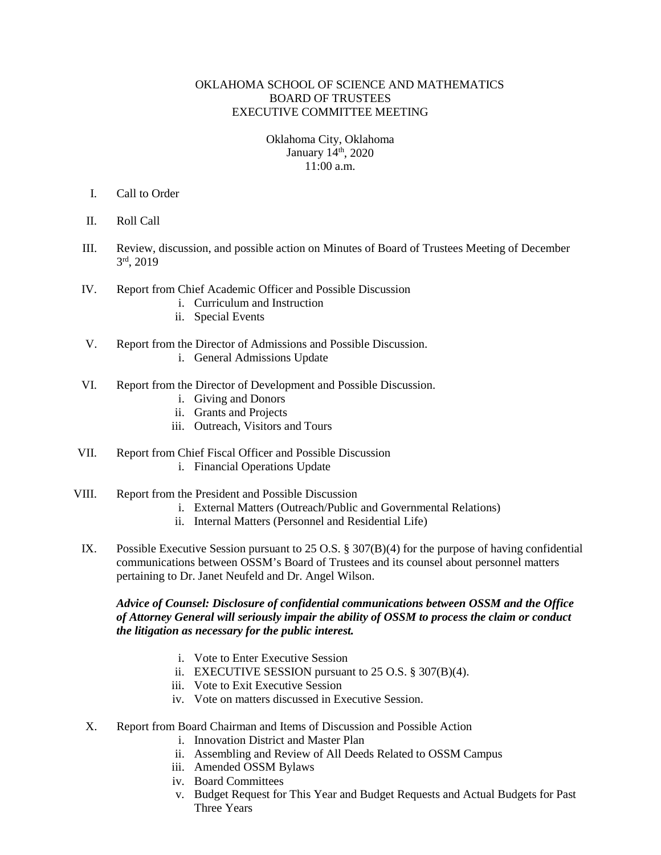## OKLAHOMA SCHOOL OF SCIENCE AND MATHEMATICS BOARD OF TRUSTEES EXECUTIVE COMMITTEE MEETING

## Oklahoma City, Oklahoma January 14<sup>th</sup>, 2020  $11:00a \, \text{m}$

- I. Call to Order
- II. Roll Call
- III. Review, discussion, and possible action on Minutes of Board of Trustees Meeting of December 3rd, 2019
- IV. Report from Chief Academic Officer and Possible Discussion
	- i. Curriculum and Instruction
	- ii. Special Events
- V. Report from the Director of Admissions and Possible Discussion.
	- i. General Admissions Update
- VI. Report from the Director of Development and Possible Discussion.
	- i. Giving and Donors
	- ii. Grants and Projects
	- iii. Outreach, Visitors and Tours
- VII. Report from Chief Fiscal Officer and Possible Discussion i. Financial Operations Update
- VIII. Report from the President and Possible Discussion
	- i. External Matters (Outreach/Public and Governmental Relations)
	- ii. Internal Matters (Personnel and Residential Life)
	- IX. Possible Executive Session pursuant to 25 O.S. § 307(B)(4) for the purpose of having confidential communications between OSSM's Board of Trustees and its counsel about personnel matters pertaining to Dr. Janet Neufeld and Dr. Angel Wilson.

# *Advice of Counsel: Disclosure of confidential communications between OSSM and the Office of Attorney General will seriously impair the ability of OSSM to process the claim or conduct the litigation as necessary for the public interest.*

- i. Vote to Enter Executive Session
- ii. EXECUTIVE SESSION pursuant to 25 O.S. § 307(B)(4).
- iii. Vote to Exit Executive Session
- iv. Vote on matters discussed in Executive Session.
- X. Report from Board Chairman and Items of Discussion and Possible Action
	- i. Innovation District and Master Plan
	- ii. Assembling and Review of All Deeds Related to OSSM Campus
	- iii. Amended OSSM Bylaws
	- iv. Board Committees
	- v. Budget Request for This Year and Budget Requests and Actual Budgets for Past Three Years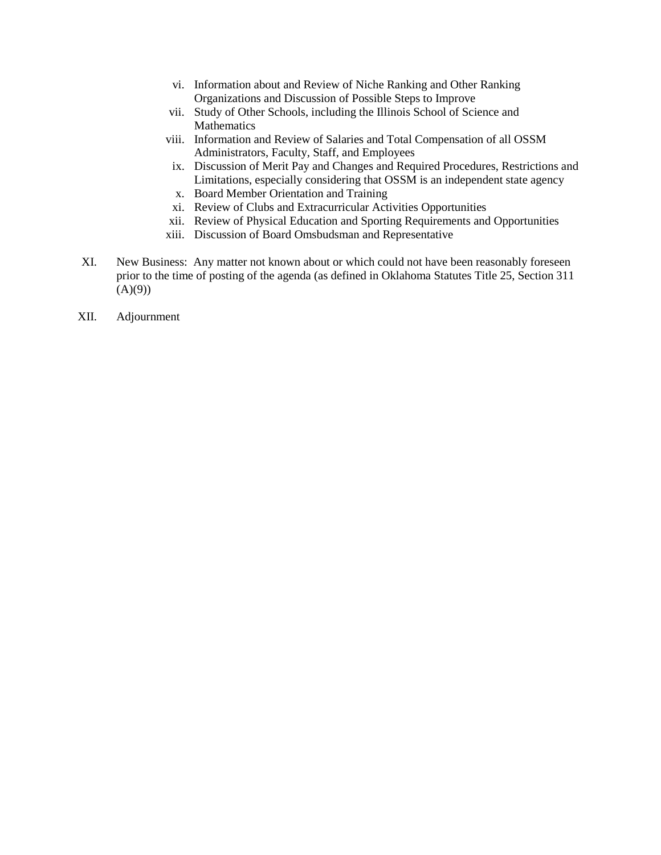- vi. Information about and Review of Niche Ranking and Other Ranking Organizations and Discussion of Possible Steps to Improve
- vii. Study of Other Schools, including the Illinois School of Science and Mathematics
- viii. Information and Review of Salaries and Total Compensation of all OSSM Administrators, Faculty, Staff, and Employees
- ix. Discussion of Merit Pay and Changes and Required Procedures, Restrictions and Limitations, especially considering that OSSM is an independent state agency
- x. Board Member Orientation and Training
- xi. Review of Clubs and Extracurricular Activities Opportunities
- xii. Review of Physical Education and Sporting Requirements and Opportunities
- xiii. Discussion of Board Omsbudsman and Representative
- XI. New Business: Any matter not known about or which could not have been reasonably foreseen prior to the time of posting of the agenda (as defined in Oklahoma Statutes Title 25, Section 311  $(A)(9)$
- XII. Adjournment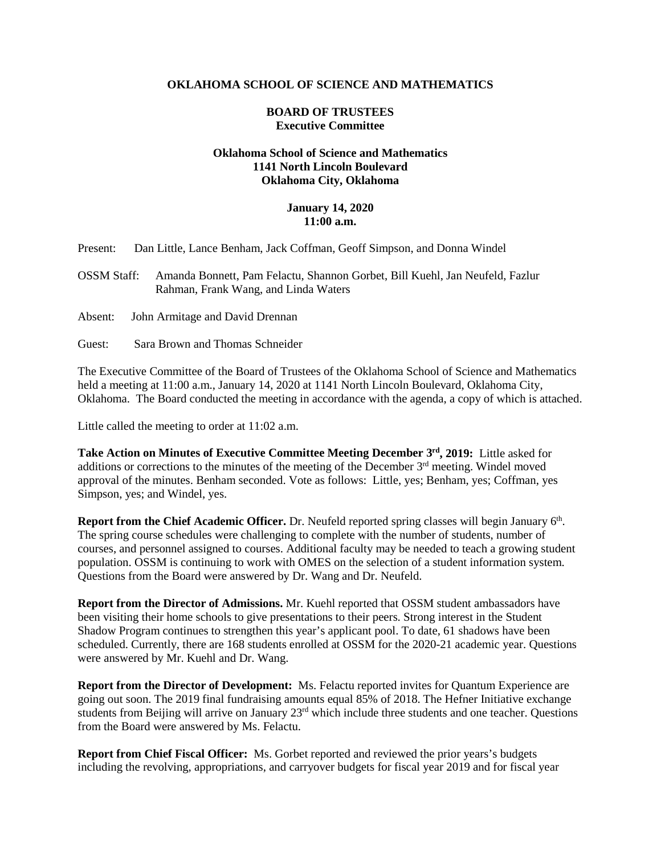#### **OKLAHOMA SCHOOL OF SCIENCE AND MATHEMATICS**

#### **BOARD OF TRUSTEES Executive Committee**

# **Oklahoma School of Science and Mathematics 1141 North Lincoln Boulevard Oklahoma City, Oklahoma**

### **January 14, 2020 11:00 a.m.**

| Present: |  | Dan Little, Lance Benham, Jack Coffman, Geoff Simpson, and Donna Windel |  |  |  |  |
|----------|--|-------------------------------------------------------------------------|--|--|--|--|
|----------|--|-------------------------------------------------------------------------|--|--|--|--|

OSSM Staff: Amanda Bonnett, Pam Felactu, Shannon Gorbet, Bill Kuehl, Jan Neufeld, Fazlur Rahman, Frank Wang, and Linda Waters

Absent: John Armitage and David Drennan

Guest: Sara Brown and Thomas Schneider

The Executive Committee of the Board of Trustees of the Oklahoma School of Science and Mathematics held a meeting at 11:00 a.m., January 14, 2020 at 1141 North Lincoln Boulevard, Oklahoma City, Oklahoma. The Board conducted the meeting in accordance with the agenda, a copy of which is attached.

Little called the meeting to order at 11:02 a.m.

**Take Action on Minutes of Executive Committee Meeting December 3rd, 2019:** Little asked for additions or corrections to the minutes of the meeting of the December  $3<sup>rd</sup>$  meeting. Windel moved approval of the minutes. Benham seconded. Vote as follows: Little, yes; Benham, yes; Coffman, yes Simpson, yes; and Windel, yes.

**Report from the Chief Academic Officer.** Dr. Neufeld reported spring classes will begin January 6<sup>th</sup>. The spring course schedules were challenging to complete with the number of students, number of courses, and personnel assigned to courses. Additional faculty may be needed to teach a growing student population. OSSM is continuing to work with OMES on the selection of a student information system. Questions from the Board were answered by Dr. Wang and Dr. Neufeld.

**Report from the Director of Admissions.** Mr. Kuehl reported that OSSM student ambassadors have been visiting their home schools to give presentations to their peers. Strong interest in the Student Shadow Program continues to strengthen this year's applicant pool. To date, 61 shadows have been scheduled. Currently, there are 168 students enrolled at OSSM for the 2020-21 academic year. Questions were answered by Mr. Kuehl and Dr. Wang.

**Report from the Director of Development:** Ms. Felactu reported invites for Quantum Experience are going out soon. The 2019 final fundraising amounts equal 85% of 2018. The Hefner Initiative exchange students from Beijing will arrive on January 23<sup>rd</sup> which include three students and one teacher. Questions from the Board were answered by Ms. Felactu.

**Report from Chief Fiscal Officer:** Ms. Gorbet reported and reviewed the prior years's budgets including the revolving, appropriations, and carryover budgets for fiscal year 2019 and for fiscal year